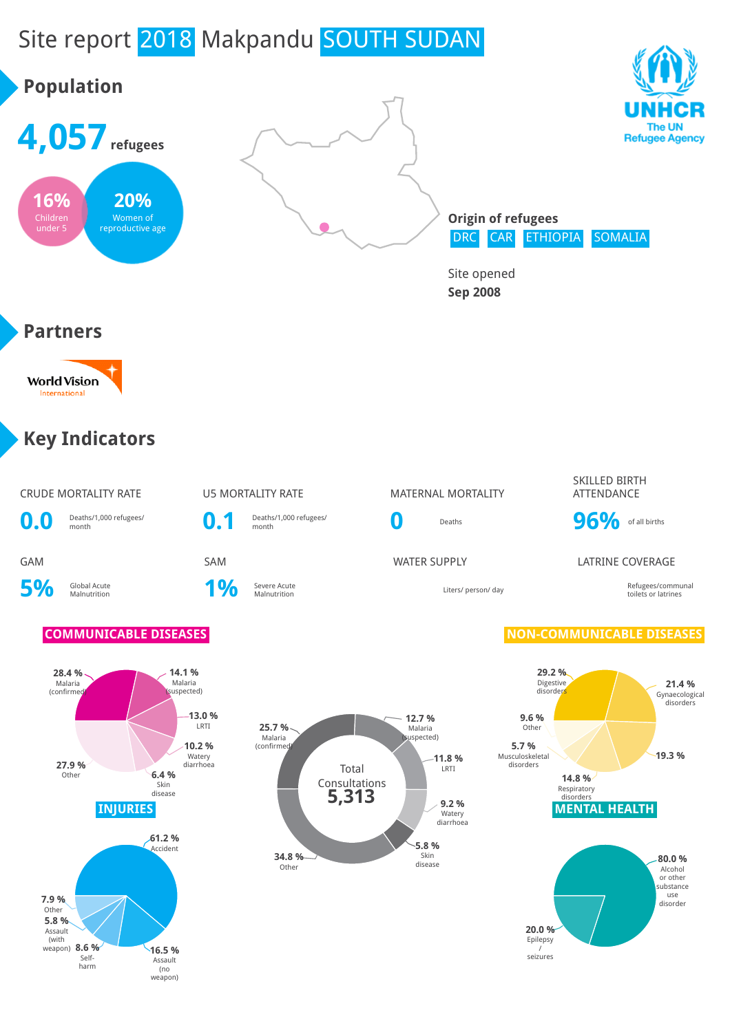# Site report 2018 Makpandu SOUTH SUDAN

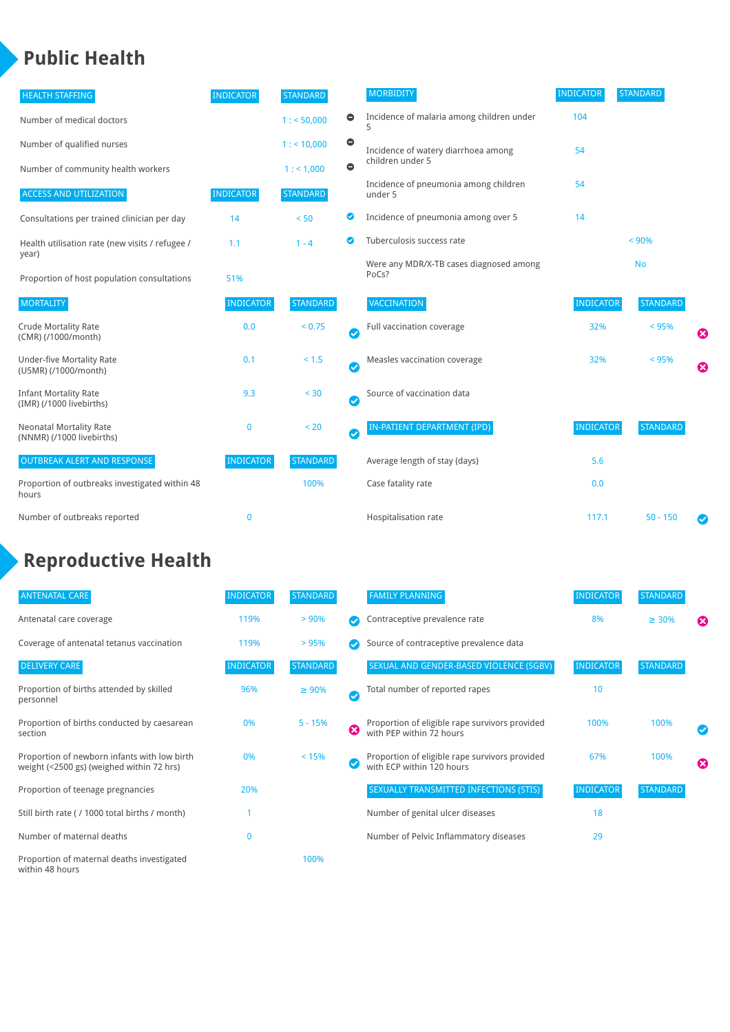## **Public Health**

| <b>HEALTH STAFFING</b>                                      | <b>INDICATOR</b> | <b>STANDARD</b> |           | <b>MORBIDITY</b>                                 | <b>INDICATOR</b> | <b>STANDARD</b> |   |
|-------------------------------------------------------------|------------------|-----------------|-----------|--------------------------------------------------|------------------|-----------------|---|
| Number of medical doctors                                   |                  | 1: 50,000       | $\bullet$ | Incidence of malaria among children under        | 104              |                 |   |
| Number of qualified nurses                                  |                  | $1:$ < 10,000   | $\bullet$ | Incidence of watery diarrhoea among              | 54               |                 |   |
| Number of community health workers                          |                  | 1:1,000         | $\bullet$ | children under 5                                 |                  |                 |   |
| <b>ACCESS AND UTILIZATION</b>                               | <b>INDICATOR</b> | <b>STANDARD</b> |           | Incidence of pneumonia among children<br>under 5 | 54               |                 |   |
| Consultations per trained clinician per day                 | 14               | < 50            | ◎         | Incidence of pneumonia among over 5              | 14               |                 |   |
| Health utilisation rate (new visits / refugee /             | 1.1              | $1 - 4$         | ◙         | Tuberculosis success rate                        |                  | < 90%           |   |
| year)<br>Proportion of host population consultations        | 51%              |                 |           | Were any MDR/X-TB cases diagnosed among<br>PoCs? |                  | <b>No</b>       |   |
| <b>MORTALITY</b>                                            | <b>INDICATOR</b> | <b>STANDARD</b> |           | <b>VACCINATION</b>                               | <b>INDICATOR</b> | <b>STANDARD</b> |   |
| <b>Crude Mortality Rate</b><br>(CMR) (/1000/month)          | 0.0              | < 0.75          | Ø         | Full vaccination coverage                        | 32%              | < 95%           | € |
| <b>Under-five Mortality Rate</b><br>(U5MR) (/1000/month)    | 0.1              | $< 1.5$         | Ø         | Measles vaccination coverage                     | 32%              | < 95%           | Ø |
| <b>Infant Mortality Rate</b><br>(IMR) (/1000 livebirths)    | 9.3              | < 30            | Ø         | Source of vaccination data                       |                  |                 |   |
| <b>Neonatal Mortality Rate</b><br>(NNMR) (/1000 livebirths) | 0                | < 20            | Ø         | IN-PATIENT DEPARTMENT (IPD)                      | <b>INDICATOR</b> | <b>STANDARD</b> |   |
| <b>OUTBREAK ALERT AND RESPONSE</b>                          | <b>INDICATOR</b> | <b>STANDARD</b> |           | Average length of stay (days)                    | 5.6              |                 |   |
| Proportion of outbreaks investigated within 48<br>hours     |                  | 100%            |           | Case fatality rate                               | 0.0              |                 |   |
| Number of outbreaks reported                                | $\bf{0}$         |                 |           | Hospitalisation rate                             | 117.1            | $50 - 150$      |   |

### **Reproductive Health**

| <b>ANTENATAL CARE</b>                                                                     | <b>INDICATOR</b> | <b>STANDARD</b> |              | <b>FAMILY PLANNING</b>                                                      | <b>INDICATOR</b> | <b>STANDARD</b> |                       |
|-------------------------------------------------------------------------------------------|------------------|-----------------|--------------|-----------------------------------------------------------------------------|------------------|-----------------|-----------------------|
| Antenatal care coverage                                                                   | 119%             | > 90%           |              | Contraceptive prevalence rate                                               | 8%               | $\geq 30\%$     | $\boldsymbol{\omega}$ |
| Coverage of antenatal tetanus vaccination                                                 | 119%             | >95%            |              | Source of contraceptive prevalence data                                     |                  |                 |                       |
| <b>DELIVERY CARE</b>                                                                      | <b>INDICATOR</b> | <b>STANDARD</b> |              | SEXUAL AND GENDER-BASED VIOLENCE (SGBV)                                     | <b>INDICATOR</b> | <b>STANDARD</b> |                       |
| Proportion of births attended by skilled<br>personnel                                     | 96%              | $\geq 90\%$     | $\checkmark$ | Total number of reported rapes                                              | 10               |                 |                       |
| Proportion of births conducted by caesarean<br>section                                    | 0%               | $5 - 15%$       | Ø            | Proportion of eligible rape survivors provided<br>with PEP within 72 hours  | 100%             | 100%            |                       |
| Proportion of newborn infants with low birth<br>weight (<2500 gs) (weighed within 72 hrs) | 0%               | < 15%           |              | Proportion of eligible rape survivors provided<br>with ECP within 120 hours | 67%              | 100%            | $\boldsymbol{\Omega}$ |
| Proportion of teenage pregnancies                                                         | 20%              |                 |              | SEXUALLY TRANSMITTED INFECTIONS (STIS)                                      | <b>INDICATOR</b> | <b>STANDARD</b> |                       |
| Still birth rate (/ 1000 total births / month)                                            |                  |                 |              | Number of genital ulcer diseases                                            | 18               |                 |                       |
| Number of maternal deaths                                                                 | $\mathbf{0}$     |                 |              | Number of Pelvic Inflammatory diseases                                      | 29               |                 |                       |
| Proportion of maternal deaths investigated<br>within 48 hours                             |                  | 100%            |              |                                                                             |                  |                 |                       |